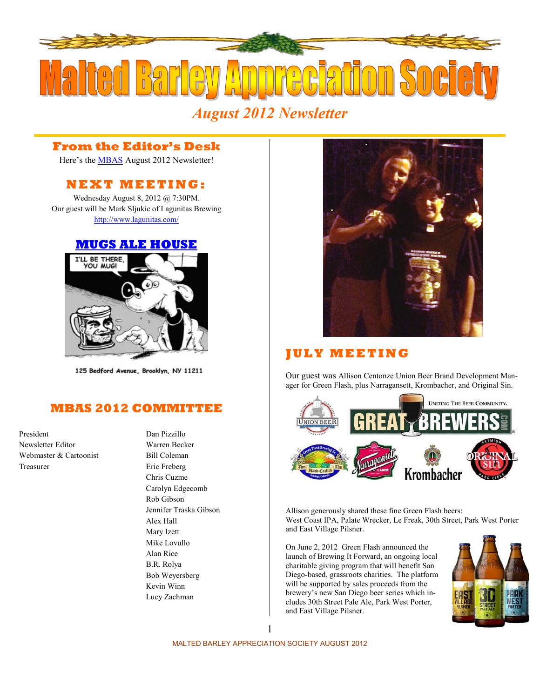

# *August 2012 Newsletter*

# **From the Editor's Desk**

Here's the **MBAS** August 2012 Newsletter!

# **N E X T M E E T I N G :**

Wednesday August 8, 2012 @ 7:30PM. Our guest will be Mark Sljukic of Lagunitas Brewing <http://www.lagunitas.com/>

### **[MUGS ALE HOUSE](http://www.mugsalehouse.com/)**



125 Bedford Avenue, Brooklyn, NY 11211

# **MBAS 2012 COMMITTEE**

President Dan Pizzillo Newsletter Editor Warren Becker Webmaster & Cartoonist Bill Coleman Treasurer Eric Freberg

Chris Cuzme Carolyn Edgecomb Rob Gibson Jennifer Traska Gibson Alex Hall Mary Izett Mike Lovullo Alan Rice B.R. Rolya Bob Weyersberg Kevin Winn Lucy Zachman



# **J U L Y M E E T I N G**

Our guest was Allison Centonze Union Beer Brand Development Manager for Green Flash, plus Narragansett, Krombacher, and Original Sin.



Allison generously shared these fine Green Flash beers: West Coast IPA, Palate Wrecker, Le Freak, 30th Street, Park West Porter and East Village Pilsner.

On June 2, 2012 Green Flash announced the launch of Brewing It Forward, an ongoing local charitable giving program that will benefit San Diego-based, grassroots charities. The platform will be supported by sales proceeds from the brewery's new San Diego beer series which includes 30th Street Pale Ale, Park West Porter, and East Village Pilsner.

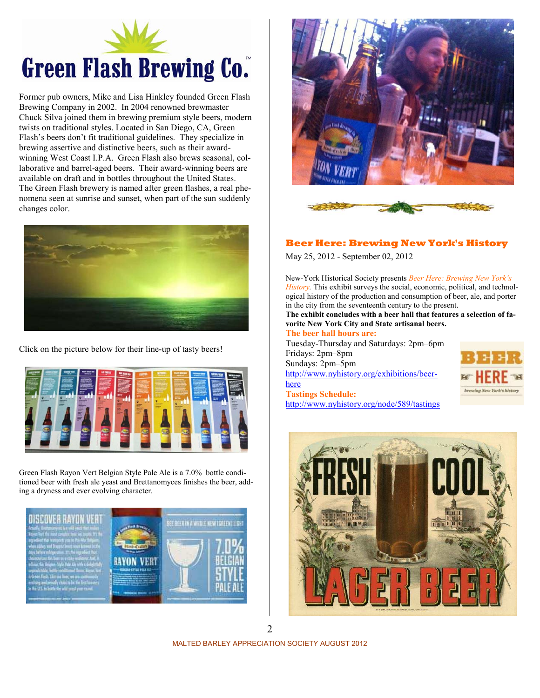

Former pub owners, Mike and Lisa Hinkley founded Green Flash Brewing Company in 2002. In 2004 renowned brewmaster Chuck Silva joined them in brewing premium style beers, modern twists on traditional styles. Located in San Diego, CA, Green Flash's beers don't fit traditional guidelines. They specialize in brewing assertive and distinctive beers, such as their awardwinning West Coast I.P.A. Green Flash also brews seasonal, collaborative and barrel-aged beers. Their award-winning beers are available on draft and in bottles throughout the United States. The Green Flash brewery is named after green flashes, a real phenomena seen at sunrise and sunset, when part of the sun suddenly changes color.



Click on the picture below for their line-up of tasty beers!



Green Flash Rayon Vert Belgian Style Pale Ale is a 7.0% bottle conditioned beer with fresh ale yeast and Brettanomyces finishes the beer, adding a dryness and ever evolving character.

**NISCAVER RAYON VERT** 







#### **Beer Here: Brewing New York's History**

May 25, 2012 - September 02, 2012

New-York Historical Society presents *Beer Here: Brewing New York's History.* This exhibit surveys the social, economic, political, and technological history of the production and consumption of beer, ale, and porter in the city from the seventeenth century to the present.

**The exhibit concludes with a beer hall that features a selection of favorite New York City and State artisanal beers.**

#### **The beer hall hours are:**  Tuesday-Thursday and Saturdays: 2pm–6pm Fridays: 2pm–8pm Sundays: 2pm–5pm [http://www.nyhistory.org/exhibitions/beer-](http://www.nyhistory.org/exhibitions/beer-here)

<http://www.nyhistory.org/node/589/tastings>

[here](http://www.nyhistory.org/exhibitions/beer-here)

**Tastings Schedule:** 





MALTED BARLEY APPRECIATION SOCIETY AUGUST 2012